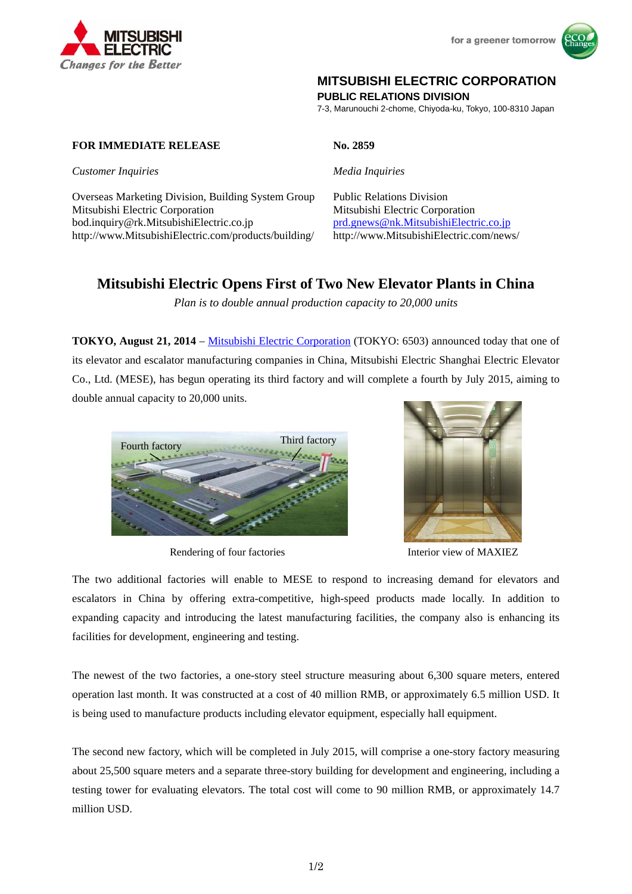



## **MITSUBISHI ELECTRIC CORPORATION**

**PUBLIC RELATIONS DIVISION** 

7-3, Marunouchi 2-chome, Chiyoda-ku, Tokyo, 100-8310 Japan

**FOR IMMEDIATE RELEASE No. 2859** 

*Customer Inquiries Media Inquiries* 

Overseas Marketing Division, Building System Group Public Relations Division Mitsubishi Electric Corporation Mitsubishi Electric Corporation bod.inquiry@rk.MitsubishiElectric.co.jp prd.gnews@nk.MitsubishiElectric.co.jp http://www.MitsubishiElectric.com/products/building/ http://www.MitsubishiElectric.com/news/

# **Mitsubishi Electric Opens First of Two New Elevator Plants in China**

*Plan is to double annual production capacity to 20,000 units* 

**TOKYO, August 21, 2014** – Mitsubishi Electric Corporation (TOKYO: 6503) announced today that one of its elevator and escalator manufacturing companies in China, Mitsubishi Electric Shanghai Electric Elevator Co., Ltd. (MESE), has begun operating its third factory and will complete a fourth by July 2015, aiming to double annual capacity to 20,000 units.



Rendering of four factories



Interior view of MAXIEZ

The two additional factories will enable to MESE to respond to increasing demand for elevators and escalators in China by offering extra-competitive, high-speed products made locally. In addition to expanding capacity and introducing the latest manufacturing facilities, the company also is enhancing its facilities for development, engineering and testing.

The newest of the two factories, a one-story steel structure measuring about 6,300 square meters, entered operation last month. It was constructed at a cost of 40 million RMB, or approximately 6.5 million USD. It is being used to manufacture products including elevator equipment, especially hall equipment.

The second new factory, which will be completed in July 2015, will comprise a one-story factory measuring about 25,500 square meters and a separate three-story building for development and engineering, including a testing tower for evaluating elevators. The total cost will come to 90 million RMB, or approximately 14.7 million USD.